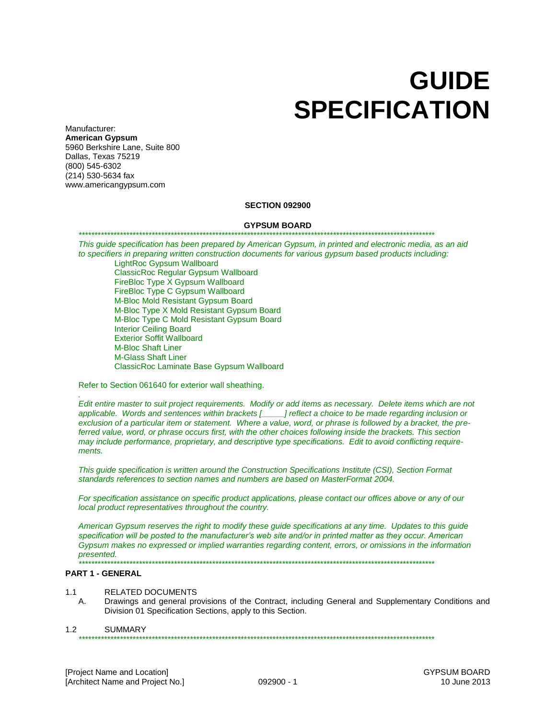# **GUIDE SPECIFICATION**

Manufacturer: **American Gypsum** 5960 Berkshire Lane, Suite 800 Dallas, Texas 75219 (800) 545-6302 (214) 530-5634 fax www.americangypsum.com

## **SECTION 092900**

#### **GYPSUM BOARD**

#### *\*\*\*\*\*\*\*\*\*\*\*\*\*\*\*\*\*\*\*\*\*\*\*\*\*\*\*\*\*\*\*\*\*\*\*\*\*\*\*\*\*\*\*\*\*\*\*\*\*\*\*\*\*\*\*\*\*\*\*\*\*\*\*\*\*\*\*\*\*\*\*\*\*\*\*\*\*\*\*\*\*\*\*\*\*\*\*\*\*\*\*\*\*\*\*\*\*\*\*\*\*\*\*\*\*\*\*\*\*\*\*\**

*This guide specification has been prepared by American Gypsum, in printed and electronic media, as an aid to specifiers in preparing written construction documents for various gypsum based products including:* LightRoc Gypsum Wallboard

ClassicRoc Regular Gypsum Wallboard FireBloc Type X Gypsum Wallboard FireBloc Type C Gypsum Wallboard M-Bloc Mold Resistant Gypsum Board M-Bloc Type X Mold Resistant Gypsum Board M-Bloc Type C Mold Resistant Gypsum Board Interior Ceiling Board Exterior Soffit Wallboard M-Bloc Shaft Liner M-Glass Shaft Liner ClassicRoc Laminate Base Gypsum Wallboard

Refer to Section 061640 for exterior wall sheathing.

*Edit entire master to suit project requirements. Modify or add items as necessary. Delete items which are not applicable. Words and sentences within brackets [\_\_\_\_\_] reflect a choice to be made regarding inclusion or exclusion of a particular item or statement. Where a value, word, or phrase is followed by a bracket, the preferred value, word, or phrase occurs first, with the other choices following inside the brackets. This section may include performance, proprietary, and descriptive type specifications. Edit to avoid conflicting requirements.*

*This guide specification is written around the Construction Specifications Institute (CSI), Section Format standards references to section names and numbers are based on MasterFormat 2004.* 

*For specification assistance on specific product applications, please contact our offices above or any of our local product representatives throughout the country.*

*American Gypsum reserves the right to modify these guide specifications at any time. Updates to this guide specification will be posted to the manufacturer's web site and/or in printed matter as they occur. American Gypsum makes no expressed or implied warranties regarding content, errors, or omissions in the information presented. \*\*\*\*\*\*\*\*\*\*\*\*\*\*\*\*\*\*\*\*\*\*\*\*\*\*\*\*\*\*\*\*\*\*\*\*\*\*\*\*\*\*\*\*\*\*\*\*\*\*\*\*\*\*\*\*\*\*\*\*\*\*\*\*\*\*\*\*\*\*\*\*\*\*\*\*\*\*\*\*\*\*\*\*\*\*\*\*\*\*\*\*\*\*\*\*\*\*\*\*\*\*\*\*\*\*\*\*\*\*\*\**

#### **PART 1 - GENERAL**

*.* 

- 1.1 RELATED DOCUMENTS
	- A. Drawings and general provisions of the Contract, including General and Supplementary Conditions and Division 01 Specification Sections, apply to this Section.

## 1.2 SUMMARY

*\*\*\*\*\*\*\*\*\*\*\*\*\*\*\*\*\*\*\*\*\*\*\*\*\*\*\*\*\*\*\*\*\*\*\*\*\*\*\*\*\*\*\*\*\*\*\*\*\*\*\*\*\*\*\*\*\*\*\*\*\*\*\*\*\*\*\*\*\*\*\*\*\*\*\*\*\*\*\*\*\*\*\*\*\*\*\*\*\*\*\*\*\*\*\*\*\*\*\*\*\*\*\*\*\*\*\*\*\*\*\*\**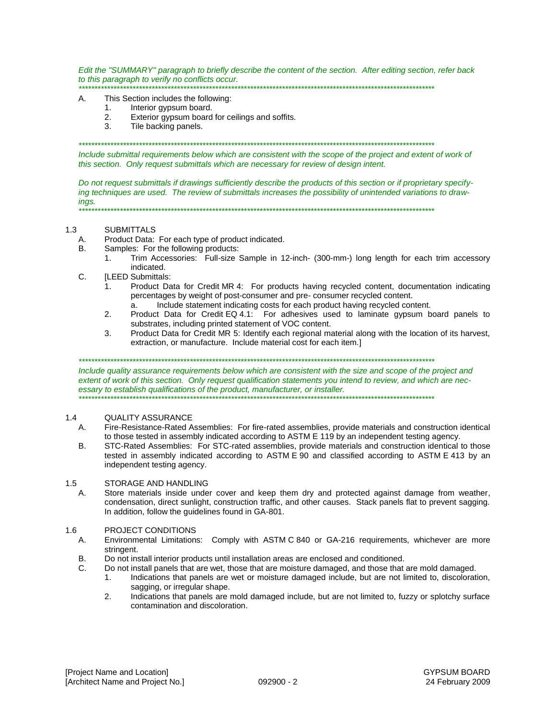*Edit the "SUMMARY" paragraph to briefly describe the content of the section. After editing section, refer back to this paragraph to verify no conflicts occur. \*\*\*\*\*\*\*\*\*\*\*\*\*\*\*\*\*\*\*\*\*\*\*\*\*\*\*\*\*\*\*\*\*\*\*\*\*\*\*\*\*\*\*\*\*\*\*\*\*\*\*\*\*\*\*\*\*\*\*\*\*\*\*\*\*\*\*\*\*\*\*\*\*\*\*\*\*\*\*\*\*\*\*\*\*\*\*\*\*\*\*\*\*\*\*\*\*\*\*\*\*\*\*\*\*\*\*\*\*\*\*\**

#### A. This Section includes the following:

- 1. Interior gypsum board.
- 2. Exterior gypsum board for ceilings and soffits.
- 3. Tile backing panels.

*\*\*\*\*\*\*\*\*\*\*\*\*\*\*\*\*\*\*\*\*\*\*\*\*\*\*\*\*\*\*\*\*\*\*\*\*\*\*\*\*\*\*\*\*\*\*\*\*\*\*\*\*\*\*\*\*\*\*\*\*\*\*\*\*\*\*\*\*\*\*\*\*\*\*\*\*\*\*\*\*\*\*\*\*\*\*\*\*\*\*\*\*\*\*\*\*\*\*\*\*\*\*\*\*\*\*\*\*\*\*\*\**

*Include submittal requirements below which are consistent with the scope of the project and extent of work of this section. Only request submittals which are necessary for review of design intent.*

*Do not request submittals if drawings sufficiently describe the products of this section or if proprietary specifying techniques are used. The review of submittals increases the possibility of unintended variations to drawings. \*\*\*\*\*\*\*\*\*\*\*\*\*\*\*\*\*\*\*\*\*\*\*\*\*\*\*\*\*\*\*\*\*\*\*\*\*\*\*\*\*\*\*\*\*\*\*\*\*\*\*\*\*\*\*\*\*\*\*\*\*\*\*\*\*\*\*\*\*\*\*\*\*\*\*\*\*\*\*\*\*\*\*\*\*\*\*\*\*\*\*\*\*\*\*\*\*\*\*\*\*\*\*\*\*\*\*\*\*\*\*\**

1.3 SUBMITTALS

- A. Product Data: For each type of product indicated.
- B. Samples: For the following products:
	- 1. Trim Accessories: Full-size Sample in 12-inch- (300-mm-) long length for each trim accessory indicated.
- C. **ILEED Submittals:** 
	- 1. Product Data for Credit MR 4: For products having recycled content, documentation indicating percentages by weight of post-consumer and pre- consumer recycled content.
		- a. Include statement indicating costs for each product having recycled content.
	- 2. Product Data for Credit EQ 4.1: For adhesives used to laminate gypsum board panels to substrates, including printed statement of VOC content.
	- 3. Product Data for Credit MR 5: Identify each regional material along with the location of its harvest, extraction, or manufacture. Include material cost for each item.]

*\*\*\*\*\*\*\*\*\*\*\*\*\*\*\*\*\*\*\*\*\*\*\*\*\*\*\*\*\*\*\*\*\*\*\*\*\*\*\*\*\*\*\*\*\*\*\*\*\*\*\*\*\*\*\*\*\*\*\*\*\*\*\*\*\*\*\*\*\*\*\*\*\*\*\*\*\*\*\*\*\*\*\*\*\*\*\*\*\*\*\*\*\*\*\*\*\*\*\*\*\*\*\*\*\*\*\*\*\*\*\*\**

*Include quality assurance requirements below which are consistent with the size and scope of the project and extent of work of this section. Only request qualification statements you intend to review, and which are necessary to establish qualifications of the product, manufacturer, or installer. \*\*\*\*\*\*\*\*\*\*\*\*\*\*\*\*\*\*\*\*\*\*\*\*\*\*\*\*\*\*\*\*\*\*\*\*\*\*\*\*\*\*\*\*\*\*\*\*\*\*\*\*\*\*\*\*\*\*\*\*\*\*\*\*\*\*\*\*\*\*\*\*\*\*\*\*\*\*\*\*\*\*\*\*\*\*\*\*\*\*\*\*\*\*\*\*\*\*\*\*\*\*\*\*\*\*\*\*\*\*\*\**

## 1.4 QUALITY ASSURANCE

- A. Fire-Resistance-Rated Assemblies: For fire-rated assemblies, provide materials and construction identical to those tested in assembly indicated according to ASTM E 119 by an independent testing agency.
- B. STC-Rated Assemblies: For STC-rated assemblies, provide materials and construction identical to those tested in assembly indicated according to ASTM E 90 and classified according to ASTM E 413 by an independent testing agency.

## 1.5 STORAGE AND HANDLING

A. Store materials inside under cover and keep them dry and protected against damage from weather, condensation, direct sunlight, construction traffic, and other causes. Stack panels flat to prevent sagging. In addition, follow the guidelines found in GA-801.

## 1.6 PROJECT CONDITIONS

- A. Environmental Limitations: Comply with ASTM C 840 or GA-216 requirements, whichever are more stringent.
- B. Do not install interior products until installation areas are enclosed and conditioned.
- C. Do not install panels that are wet, those that are moisture damaged, and those that are mold damaged.
	- 1. Indications that panels are wet or moisture damaged include, but are not limited to, discoloration, sagging, or irregular shape.
		- 2. Indications that panels are mold damaged include, but are not limited to, fuzzy or splotchy surface contamination and discoloration.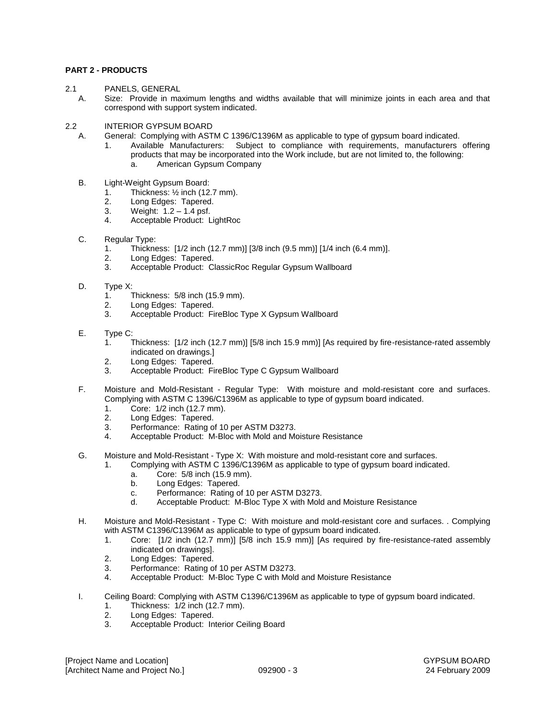## **PART 2 - PRODUCTS**

- 2.1 PANELS, GENERAL
- A. Size: Provide in maximum lengths and widths available that will minimize joints in each area and that correspond with support system indicated.
- 2.2 INTERIOR GYPSUM BOARD
	- A. General: Complying with ASTM C 1396/C1396M as applicable to type of gypsum board indicated.
		- 1. Available Manufacturers: Subject to compliance with requirements, manufacturers offering products that may be incorporated into the Work include, but are not limited to, the following: a. American Gypsum Company
	- B. Light-Weight Gypsum Board:
		- 1. Thickness:  $\frac{1}{2}$  inch (12.7 mm).
		- 2. Long Edges: Tapered.
		- 3. Weight: 1.2 1.4 psf.
		- 4. Acceptable Product: LightRoc
	- C. Regular Type:
		- 1. Thickness: [1/2 inch (12.7 mm)] [3/8 inch (9.5 mm)] [1/4 inch (6.4 mm)].
		- 2. Long Edges: Tapered.
		- 3. Acceptable Product: ClassicRoc Regular Gypsum Wallboard
	- D. Type X:
		- 1. Thickness: 5/8 inch (15.9 mm).
		- 2. Long Edges: Tapered.
		- 3. Acceptable Product: FireBloc Type X Gypsum Wallboard
	- E. Type C:
		- 1. Thickness: [1/2 inch (12.7 mm)] [5/8 inch 15.9 mm)] [As required by fire-resistance-rated assembly indicated on drawings.]
		- 2. Long Edges: Tapered.
		- 3. Acceptable Product: FireBloc Type C Gypsum Wallboard
	- F. Moisture and Mold-Resistant Regular Type: With moisture and mold-resistant core and surfaces. Complying with ASTM C 1396/C1396M as applicable to type of gypsum board indicated.
		- 1. Core: 1/2 inch (12.7 mm).
		- 2. Long Edges: Tapered.
		- 3. Performance: Rating of 10 per ASTM D3273.
		- 4. Acceptable Product: M-Bloc with Mold and Moisture Resistance
	- G. Moisture and Mold-Resistant Type X: With moisture and mold-resistant core and surfaces.
		- 1. Complying with ASTM C 1396/C1396M as applicable to type of gypsum board indicated.
			- a. Core: 5/8 inch (15.9 mm).
			- b. Long Edges: Tapered.
			- c. Performance: Rating of 10 per ASTM D3273.
			- d. Acceptable Product: M-Bloc Type X with Mold and Moisture Resistance
	- H. Moisture and Mold-Resistant Type C: With moisture and mold-resistant core and surfaces. . Complying with ASTM C1396/C1396M as applicable to type of gypsum board indicated.
		- 1. Core: [1/2 inch (12.7 mm)] [5/8 inch 15.9 mm)] [As required by fire-resistance-rated assembly indicated on drawings].
		- 2. Long Edges: Tapered.
		- 3. Performance: Rating of 10 per ASTM D3273.
		- 4. Acceptable Product: M-Bloc Type C with Mold and Moisture Resistance
	- I. Ceiling Board: Complying with ASTM C1396/C1396M as applicable to type of gypsum board indicated.
		- 1. Thickness: 1/2 inch (12.7 mm).
		- 2. Long Edges: Tapered.<br>3. Acceptable Product: In
		- Acceptable Product: Interior Ceiling Board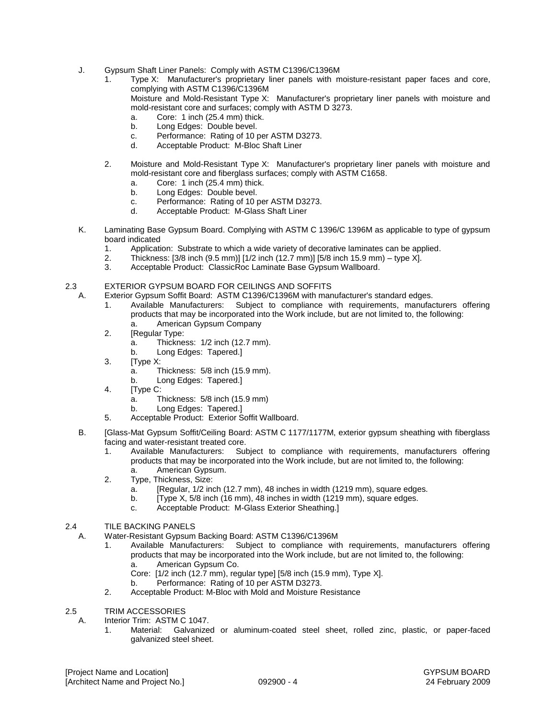- J. Gypsum Shaft Liner Panels: Comply with ASTM C1396/C1396M
	- 1. Type X: Manufacturer's proprietary liner panels with moisture-resistant paper faces and core, complying with ASTM C1396/C1396M Moisture and Mold-Resistant Type X: Manufacturer's proprietary liner panels with moisture and mold-resistant core and surfaces; comply with ASTM D 3273. a. Core: 1 inch (25.4 mm) thick.
		- b. Long Edges: Double bevel.
		-
		- c. Performance: Rating of 10 per ASTM D3273.<br>d. Acceptable Product: M-Bloc Shaft Liner Acceptable Product: M-Bloc Shaft Liner
	- 2. Moisture and Mold-Resistant Type X: Manufacturer's proprietary liner panels with moisture and mold-resistant core and fiberglass surfaces; comply with ASTM C1658.
		- a. Core: 1 inch (25.4 mm) thick.
		- b. Long Edges: Double bevel.
		- c. Performance: Rating of 10 per ASTM D3273.
		- d. Acceptable Product: M-Glass Shaft Liner
- K. Laminating Base Gypsum Board. Complying with ASTM C 1396/C 1396M as applicable to type of gypsum board indicated
	- 1. Application: Substrate to which a wide variety of decorative laminates can be applied.
	- 2. Thickness: [3/8 inch (9.5 mm)] [1/2 inch (12.7 mm)] [5/8 inch 15.9 mm) type X].
	- 3. Acceptable Product: ClassicRoc Laminate Base Gypsum Wallboard.

## 2.3 EXTERIOR GYPSUM BOARD FOR CEILINGS AND SOFFITS

- A. Exterior Gypsum Soffit Board: ASTM C1396/C1396M with manufacturer's standard edges.
	- 1. Available Manufacturers: Subject to compliance with requirements, manufacturers offering products that may be incorporated into the Work include, but are not limited to, the following: a. American Gypsum Company
	- 2. [Regular Type:
		- a. Thickness: 1/2 inch (12.7 mm).
		- b. Long Edges: Tapered.]
	- 3. [Type X:
		- a. Thickness: 5/8 inch (15.9 mm).
		- b. Long Edges: Tapered.]
	- 4. [Type C:
		- a. Thickness: 5/8 inch (15.9 mm)
		- b. Long Edges: Tapered.]
	- 5. Acceptable Product: Exterior Soffit Wallboard.
- B. [Glass-Mat Gypsum Soffit/Ceiling Board: ASTM C 1177/1177M, exterior gypsum sheathing with fiberglass facing and water-resistant treated core.
	- 1. Available Manufacturers: Subject to compliance with requirements, manufacturers offering products that may be incorporated into the Work include, but are not limited to, the following: a. American Gypsum.
	- 2. Type, Thickness, Size:
		- a. [Regular, 1/2 inch (12.7 mm), 48 inches in width (1219 mm), square edges.
		- b. [Type X, 5/8 inch (16 mm), 48 inches in width (1219 mm), square edges.
		- c. Acceptable Product: M-Glass Exterior Sheathing.]

## 2.4 TILE BACKING PANELS

A. Water-Resistant Gypsum Backing Board: ASTM C1396/C1396M

- 1. Available Manufacturers: Subject to compliance with requirements, manufacturers offering products that may be incorporated into the Work include, but are not limited to, the following: a. American Gypsum Co.
	- Core: [1/2 inch (12.7 mm), regular type] [5/8 inch (15.9 mm), Type X].
	- b. Performance: Rating of 10 per ASTM D3273.
- 2. Acceptable Product: M-Bloc with Mold and Moisture Resistance
- 2.5 TRIM ACCESSORIES
	- A. Interior Trim: ASTM C 1047.
		- 1. Material: Galvanized or aluminum-coated steel sheet, rolled zinc, plastic, or paper-faced galvanized steel sheet.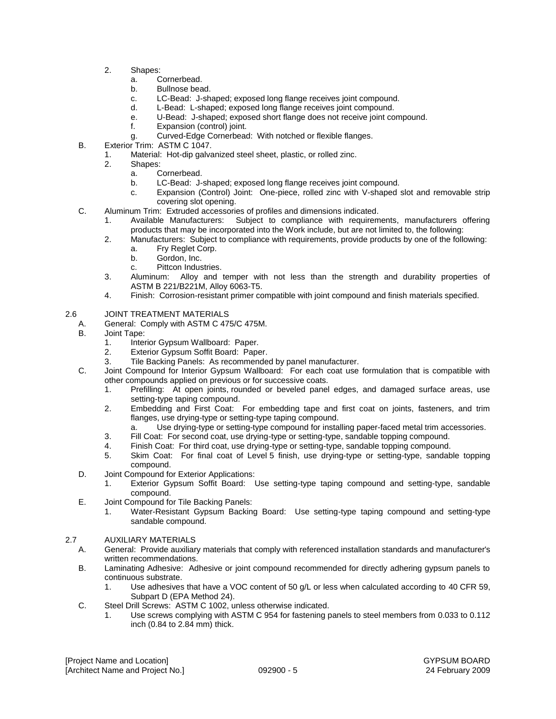- 2. Shapes:
	- a. Cornerbead.
	- b. Bullnose bead.
	- c. LC-Bead: J-shaped; exposed long flange receives joint compound.
	- d. L-Bead: L-shaped; exposed long flange receives joint compound.
	- e. U-Bead: J-shaped; exposed short flange does not receive joint compound.
	- f. Expansion (control) joint.
	- g. Curved-Edge Cornerbead: With notched or flexible flanges.
- B. Exterior Trim: ASTM C 1047.
	- 1. Material: Hot-dip galvanized steel sheet, plastic, or rolled zinc.
	- Shapes:
		- a. Cornerbead.
		- b. LC-Bead: J-shaped; exposed long flange receives joint compound.
		- c. Expansion (Control) Joint: One-piece, rolled zinc with V-shaped slot and removable strip covering slot opening.
- C. Aluminum Trim: Extruded accessories of profiles and dimensions indicated.
	- 1. Available Manufacturers: Subject to compliance with requirements, manufacturers offering products that may be incorporated into the Work include, but are not limited to, the following:
	- 2. Manufacturers: Subject to compliance with requirements, provide products by one of the following: a. Fry Reglet Corp.
		- b. Gordon, Inc.
		- c. Pittcon Industries.
	- 3. Aluminum: Alloy and temper with not less than the strength and durability properties of ASTM B 221/B221M, Alloy 6063-T5.
	- 4. Finish: Corrosion-resistant primer compatible with joint compound and finish materials specified.

# 2.6 JOINT TREATMENT MATERIALS

- A. General: Comply with ASTM C 475/C 475M.
	- B. Joint Tape:
		- 1. Interior Gypsum Wallboard: Paper.
		- 2. Exterior Gypsum Soffit Board: Paper.
		- 3. Tile Backing Panels: As recommended by panel manufacturer.
	- C. Joint Compound for Interior Gypsum Wallboard: For each coat use formulation that is compatible with other compounds applied on previous or for successive coats.
		- 1. Prefilling: At open joints, rounded or beveled panel edges, and damaged surface areas, use setting-type taping compound.
		- 2. Embedding and First Coat: For embedding tape and first coat on joints, fasteners, and trim flanges, use drying-type or setting-type taping compound.
			- a. Use drying-type or setting-type compound for installing paper-faced metal trim accessories.
		- 3. Fill Coat: For second coat, use drying-type or setting-type, sandable topping compound.
		- 4. Finish Coat: For third coat, use drying-type or setting-type, sandable topping compound.
		- 5. Skim Coat: For final coat of Level 5 finish, use drying-type or setting-type, sandable topping compound.
	- D. Joint Compound for Exterior Applications:
		- 1. Exterior Gypsum Soffit Board: Use setting-type taping compound and setting-type, sandable compound.
	- E. Joint Compound for Tile Backing Panels:
		- 1. Water-Resistant Gypsum Backing Board: Use setting-type taping compound and setting-type sandable compound.

# 2.7 AUXILIARY MATERIALS

- A. General: Provide auxiliary materials that comply with referenced installation standards and manufacturer's written recommendations.
- B. Laminating Adhesive: Adhesive or joint compound recommended for directly adhering gypsum panels to continuous substrate.
	- 1. Use adhesives that have a VOC content of 50 g/L or less when calculated according to 40 CFR 59, Subpart D (EPA Method 24).
- C. Steel Drill Screws: ASTM C 1002, unless otherwise indicated.
	- 1. Use screws complying with ASTM C 954 for fastening panels to steel members from 0.033 to 0.112 inch (0.84 to 2.84 mm) thick.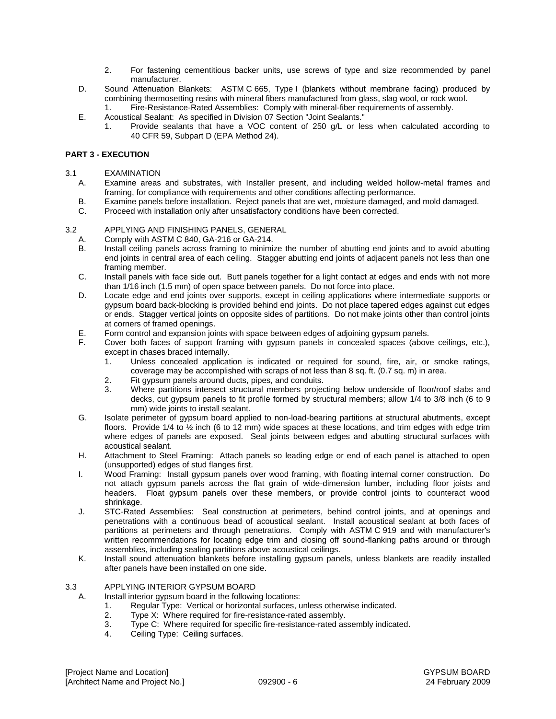- 2. For fastening cementitious backer units, use screws of type and size recommended by panel manufacturer.
- D. Sound Attenuation Blankets: ASTM C 665, Type I (blankets without membrane facing) produced by combining thermosetting resins with mineral fibers manufactured from glass, slag wool, or rock wool. 1. Fire-Resistance-Rated Assemblies: Comply with mineral-fiber requirements of assembly.
- E. Acoustical Sealant: As specified in Division 07 Section "Joint Sealants."
	- 1. Provide sealants that have a VOC content of 250 g/L or less when calculated according to 40 CFR 59, Subpart D (EPA Method 24).

## **PART 3 - EXECUTION**

## 3.1 EXAMINATION

- A. Examine areas and substrates, with Installer present, and including welded hollow-metal frames and framing, for compliance with requirements and other conditions affecting performance.
- B. Examine panels before installation. Reject panels that are wet, moisture damaged, and mold damaged.
- C. Proceed with installation only after unsatisfactory conditions have been corrected.

## 3.2 APPLYING AND FINISHING PANELS, GENERAL

- A. Comply with ASTM C 840, GA-216 or GA-214.
- B. Install ceiling panels across framing to minimize the number of abutting end joints and to avoid abutting end joints in central area of each ceiling. Stagger abutting end joints of adjacent panels not less than one framing member.
- C. Install panels with face side out. Butt panels together for a light contact at edges and ends with not more than 1/16 inch (1.5 mm) of open space between panels. Do not force into place.
- D. Locate edge and end joints over supports, except in ceiling applications where intermediate supports or gypsum board back-blocking is provided behind end joints. Do not place tapered edges against cut edges or ends. Stagger vertical joints on opposite sides of partitions. Do not make joints other than control joints at corners of framed openings.
- E. Form control and expansion joints with space between edges of adjoining gypsum panels.
- F. Cover both faces of support framing with gypsum panels in concealed spaces (above ceilings, etc.), except in chases braced internally.
	- 1. Unless concealed application is indicated or required for sound, fire, air, or smoke ratings, coverage may be accomplished with scraps of not less than 8 sq. ft. (0.7 sq. m) in area.
	- 2. Fit gypsum panels around ducts, pipes, and conduits.<br>3. Where partitions intersect structural members project
	- Where partitions intersect structural members projecting below underside of floor/roof slabs and decks, cut gypsum panels to fit profile formed by structural members; allow 1/4 to 3/8 inch (6 to 9 mm) wide joints to install sealant.
- G. Isolate perimeter of gypsum board applied to non-load-bearing partitions at structural abutments, except floors. Provide 1/4 to ½ inch (6 to 12 mm) wide spaces at these locations, and trim edges with edge trim where edges of panels are exposed. Seal joints between edges and abutting structural surfaces with acoustical sealant.
- H. Attachment to Steel Framing: Attach panels so leading edge or end of each panel is attached to open (unsupported) edges of stud flanges first.
- I. Wood Framing: Install gypsum panels over wood framing, with floating internal corner construction. Do not attach gypsum panels across the flat grain of wide-dimension lumber, including floor joists and headers. Float gypsum panels over these members, or provide control joints to counteract wood shrinkage.
- J. STC-Rated Assemblies: Seal construction at perimeters, behind control joints, and at openings and penetrations with a continuous bead of acoustical sealant. Install acoustical sealant at both faces of partitions at perimeters and through penetrations. Comply with ASTM C 919 and with manufacturer's written recommendations for locating edge trim and closing off sound-flanking paths around or through assemblies, including sealing partitions above acoustical ceilings.
- K. Install sound attenuation blankets before installing gypsum panels, unless blankets are readily installed after panels have been installed on one side.

## 3.3 APPLYING INTERIOR GYPSUM BOARD

- A. Install interior gypsum board in the following locations:
	- 1. Regular Type: Vertical or horizontal surfaces, unless otherwise indicated.
	- 2. Type X: Where required for fire-resistance-rated assembly.
	- 3. Type C: Where required for specific fire-resistance-rated assembly indicated.<br>4. Ceiling Type: Ceiling surfaces
	- Ceiling Type: Ceiling surfaces.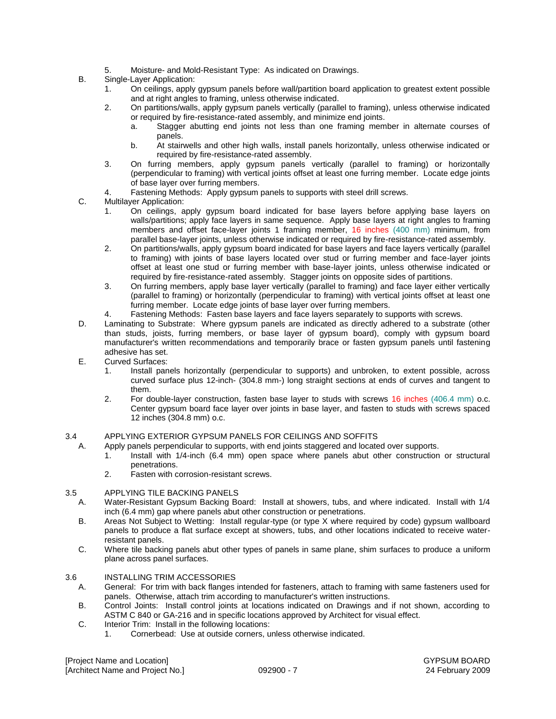- 5. Moisture- and Mold-Resistant Type: As indicated on Drawings.
- B. Single-Layer Application:
	- 1. On ceilings, apply gypsum panels before wall/partition board application to greatest extent possible and at right angles to framing, unless otherwise indicated.
	- 2. On partitions/walls, apply gypsum panels vertically (parallel to framing), unless otherwise indicated or required by fire-resistance-rated assembly, and minimize end joints.
		- a. Stagger abutting end joints not less than one framing member in alternate courses of panels.
		- b. At stairwells and other high walls, install panels horizontally, unless otherwise indicated or required by fire-resistance-rated assembly.
	- 3. On furring members, apply gypsum panels vertically (parallel to framing) or horizontally (perpendicular to framing) with vertical joints offset at least one furring member. Locate edge joints of base layer over furring members.
	- 4. Fastening Methods: Apply gypsum panels to supports with steel drill screws.
- C. Multilayer Application:
	- 1. On ceilings, apply gypsum board indicated for base layers before applying base layers on walls/partitions; apply face layers in same sequence. Apply base layers at right angles to framing members and offset face-layer joints 1 framing member, 16 inches (400 mm) minimum, from parallel base-layer joints, unless otherwise indicated or required by fire-resistance-rated assembly.
	- 2. On partitions/walls, apply gypsum board indicated for base layers and face layers vertically (parallel to framing) with joints of base layers located over stud or furring member and face-layer joints offset at least one stud or furring member with base-layer joints, unless otherwise indicated or required by fire-resistance-rated assembly. Stagger joints on opposite sides of partitions.
	- 3. On furring members, apply base layer vertically (parallel to framing) and face layer either vertically (parallel to framing) or horizontally (perpendicular to framing) with vertical joints offset at least one furring member. Locate edge joints of base layer over furring members.
	- 4. Fastening Methods: Fasten base layers and face layers separately to supports with screws.
- D. Laminating to Substrate: Where gypsum panels are indicated as directly adhered to a substrate (other than studs, joists, furring members, or base layer of gypsum board), comply with gypsum board manufacturer's written recommendations and temporarily brace or fasten gypsum panels until fastening adhesive has set.
- E. Curved Surfaces:
	- 1. Install panels horizontally (perpendicular to supports) and unbroken, to extent possible, across curved surface plus 12-inch- (304.8 mm-) long straight sections at ends of curves and tangent to them.
	- 2. For double-layer construction, fasten base layer to studs with screws 16 inches (406.4 mm) o.c. Center gypsum board face layer over joints in base layer, and fasten to studs with screws spaced 12 inches (304.8 mm) o.c.

## 3.4 APPLYING EXTERIOR GYPSUM PANELS FOR CEILINGS AND SOFFITS

- A. Apply panels perpendicular to supports, with end joints staggered and located over supports.
	- 1. Install with 1/4-inch (6.4 mm) open space where panels abut other construction or structural penetrations.
	- 2. Fasten with corrosion-resistant screws.

## 3.5 APPLYING TILE BACKING PANELS

- A. Water-Resistant Gypsum Backing Board: Install at showers, tubs, and where indicated. Install with 1/4 inch (6.4 mm) gap where panels abut other construction or penetrations.
- B. Areas Not Subject to Wetting: Install regular-type (or type X where required by code) gypsum wallboard panels to produce a flat surface except at showers, tubs, and other locations indicated to receive waterresistant panels.
- C. Where tile backing panels abut other types of panels in same plane, shim surfaces to produce a uniform plane across panel surfaces.

## 3.6 INSTALLING TRIM ACCESSORIES

- A. General: For trim with back flanges intended for fasteners, attach to framing with same fasteners used for panels. Otherwise, attach trim according to manufacturer's written instructions.
- B. Control Joints: Install control joints at locations indicated on Drawings and if not shown, according to ASTM C 840 or GA-216 and in specific locations approved by Architect for visual effect.
- C. Interior Trim: Install in the following locations:
	- 1. Cornerbead: Use at outside corners, unless otherwise indicated.